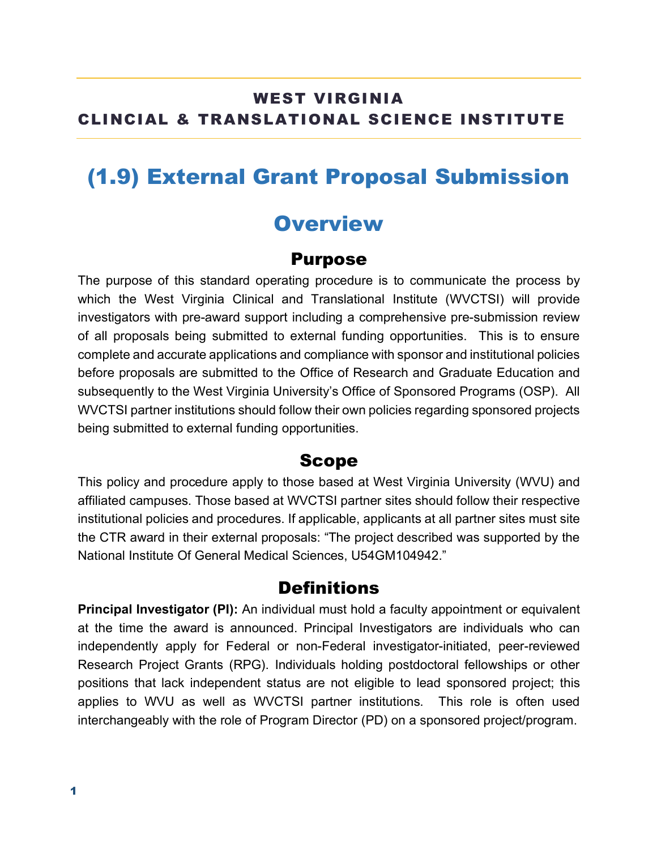### WEST VIRGINIA CLINCIAL & TRANSLATIONAL SCIENCE INSTITUTE

### (1.9) External Grant Proposal Submission

### **Overview**

#### Purpose

The purpose of this standard operating procedure is to communicate the process by which the West Virginia Clinical and Translational Institute (WVCTSI) will provide investigators with pre-award support including a comprehensive pre-submission review of all proposals being submitted to external funding opportunities. This is to ensure complete and accurate applications and compliance with sponsor and institutional policies before proposals are submitted to the Office of Research and Graduate Education and subsequently to the West Virginia University's Office of Sponsored Programs (OSP). All WVCTSI partner institutions should follow their own policies regarding sponsored projects being submitted to external funding opportunities.

#### Scope

This policy and procedure apply to those based at West Virginia University (WVU) and affiliated campuses. Those based at WVCTSI partner sites should follow their respective institutional policies and procedures. If applicable, applicants at all partner sites must site the CTR award in their external proposals: "The project described was supported by the National Institute Of General Medical Sciences, U54GM104942."

### **Definitions**

**Principal Investigator (PI):** An individual must hold a faculty appointment or equivalent at the time the award is announced. Principal Investigators are individuals who can independently apply for Federal or non-Federal investigator-initiated, peer-reviewed Research Project Grants (RPG). Individuals holding postdoctoral fellowships or other positions that lack independent status are not eligible to lead sponsored project; this applies to WVU as well as WVCTSI partner institutions. This role is often used interchangeably with the role of Program Director (PD) on a sponsored project/program.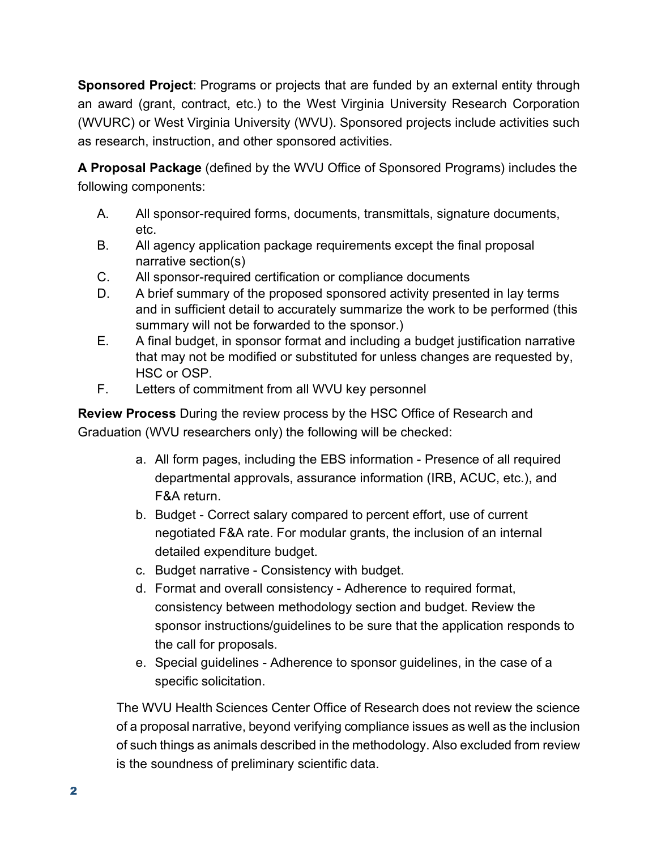**Sponsored Project**: Programs or projects that are funded by an external entity through an award (grant, contract, etc.) to the West Virginia University Research Corporation (WVURC) or West Virginia University (WVU). Sponsored projects include activities such as research, instruction, and other sponsored activities.

**A Proposal Package** (defined by the WVU Office of Sponsored Programs) includes the following components:

- A. All sponsor-required forms, documents, transmittals, signature documents, etc.
- B. All agency application package requirements except the final proposal narrative section(s)
- C. All sponsor-required certification or compliance documents
- D. A brief summary of the proposed sponsored activity presented in lay terms and in sufficient detail to accurately summarize the work to be performed (this summary will not be forwarded to the sponsor.)
- E. A final budget, in sponsor format and including a budget justification narrative that may not be modified or substituted for unless changes are requested by, HSC or OSP.
- F. Letters of commitment from all WVU key personnel

**Review Process** During the review process by the HSC Office of Research and Graduation (WVU researchers only) the following will be checked:

- a. All form pages, including the EBS information Presence of all required departmental approvals, assurance information (IRB, ACUC, etc.), and F&A return.
- b. Budget Correct salary compared to percent effort, use of current negotiated F&A rate. For modular grants, the inclusion of an internal detailed expenditure budget.
- c. Budget narrative Consistency with budget.
- d. Format and overall consistency Adherence to required format, consistency between methodology section and budget. Review the sponsor instructions/guidelines to be sure that the application responds to the call for proposals.
- e. Special guidelines Adherence to sponsor guidelines, in the case of a specific solicitation.

The WVU Health Sciences Center Office of Research does not review the science of a proposal narrative, beyond verifying compliance issues as well as the inclusion of such things as animals described in the methodology. Also excluded from review is the soundness of preliminary scientific data.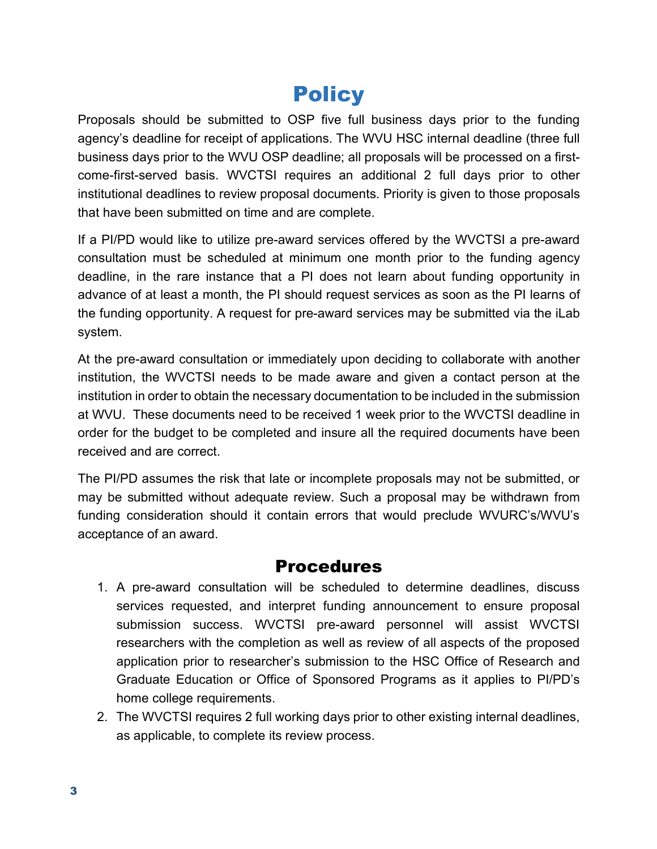# **Policy**

Proposals should be submitted to OSP five full business days prior to the funding agency's deadline for receipt of applications. The WVU HSC internal deadline (three full business days prior to the WVU OSP deadline; all proposals will be processed on a firstcome-first-served basis. WVCTSI requires an additional 2 full days prior to other institutional deadlines to review proposal documents. Priority is given to those proposals that have been submitted on time and are complete.

If a PI/PD would like to utilize pre-award services offered by the WVCTSI a pre-award consultation must be scheduled at minimum one month prior to the funding agency deadline, in the rare instance that a PI does not learn about funding opportunity in advance of at least a month, the PI should request services as soon as the PI learns of the funding opportunity. A request for pre-award services may be submitted via the iLab system.

At the pre-award consultation or immediately upon deciding to collaborate with another institution, the WVCTSI needs to be made aware and given a contact person at the institution in order to obtain the necessary documentation to be included in the submission at WVU. These documents need to be received 1 week prior to the WVCTSI deadline in order for the budget to be completed and insure all the required documents have been received and are correct.

The PI/PD assumes the risk that late or incomplete proposals may not be submitted, or may be submitted without adequate review. Such a proposal may be withdrawn from funding consideration should it contain errors that would preclude WVURC's/WVU's acceptance of an award.

### Procedures

- 1. A pre-award consultation will be scheduled to determine deadlines, discuss services requested, and interpret funding announcement to ensure proposal submission success. WVCTSI pre-award personnel will assist WVCTSI researchers with the completion as well as review of all aspects of the proposed application prior to researcher's submission to the HSC Office of Research and Graduate Education or Office of Sponsored Programs as it applies to PI/PD's home college requirements.
- 2. The WVCTSI requires 2 full working days prior to other existing internal deadlines, as applicable, to complete its review process.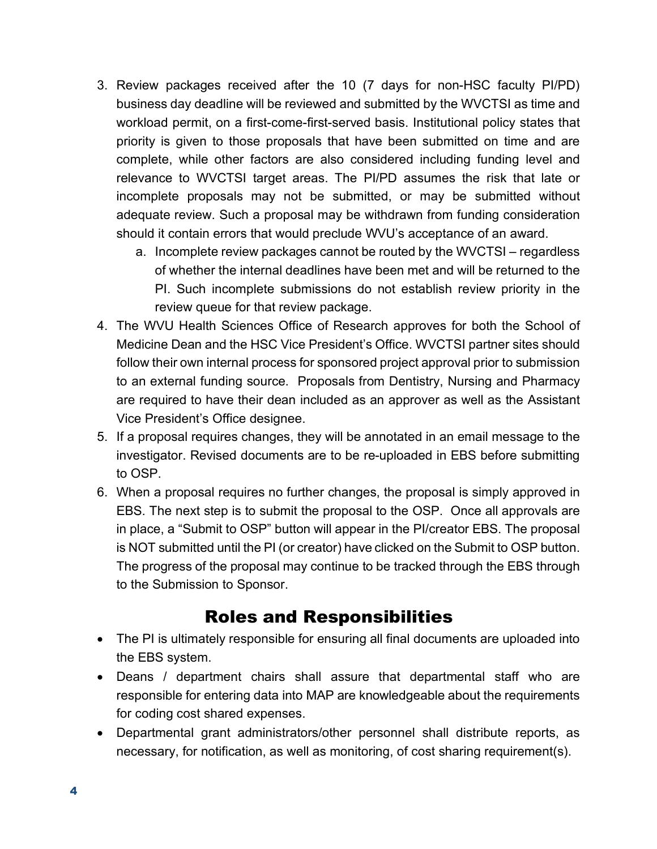- 3. Review packages received after the 10 (7 days for non-HSC faculty PI/PD) business day deadline will be reviewed and submitted by the WVCTSI as time and workload permit, on a first-come-first-served basis. Institutional policy states that priority is given to those proposals that have been submitted on time and are complete, while other factors are also considered including funding level and relevance to WVCTSI target areas. The PI/PD assumes the risk that late or incomplete proposals may not be submitted, or may be submitted without adequate review. Such a proposal may be withdrawn from funding consideration should it contain errors that would preclude WVU's acceptance of an award.
	- a. Incomplete review packages cannot be routed by the WVCTSI regardless of whether the internal deadlines have been met and will be returned to the PI. Such incomplete submissions do not establish review priority in the review queue for that review package.
- 4. The WVU Health Sciences Office of Research approves for both the School of Medicine Dean and the HSC Vice President's Office. WVCTSI partner sites should follow their own internal process for sponsored project approval prior to submission to an external funding source. Proposals from Dentistry, Nursing and Pharmacy are required to have their dean included as an approver as well as the Assistant Vice President's Office designee.
- 5. If a proposal requires changes, they will be annotated in an email message to the investigator. Revised documents are to be re-uploaded in EBS before submitting to OSP.
- 6. When a proposal requires no further changes, the proposal is simply approved in EBS. The next step is to submit the proposal to the OSP. Once all approvals are in place, a "Submit to OSP" button will appear in the PI/creator EBS. The proposal is NOT submitted until the PI (or creator) have clicked on the Submit to OSP button. The progress of the proposal may continue to be tracked through the EBS through to the Submission to Sponsor.

### Roles and Responsibilities

- The PI is ultimately responsible for ensuring all final documents are uploaded into the EBS system.
- Deans / department chairs shall assure that departmental staff who are responsible for entering data into MAP are knowledgeable about the requirements for coding cost shared expenses.
- Departmental grant administrators/other personnel shall distribute reports, as necessary, for notification, as well as monitoring, of cost sharing requirement(s).